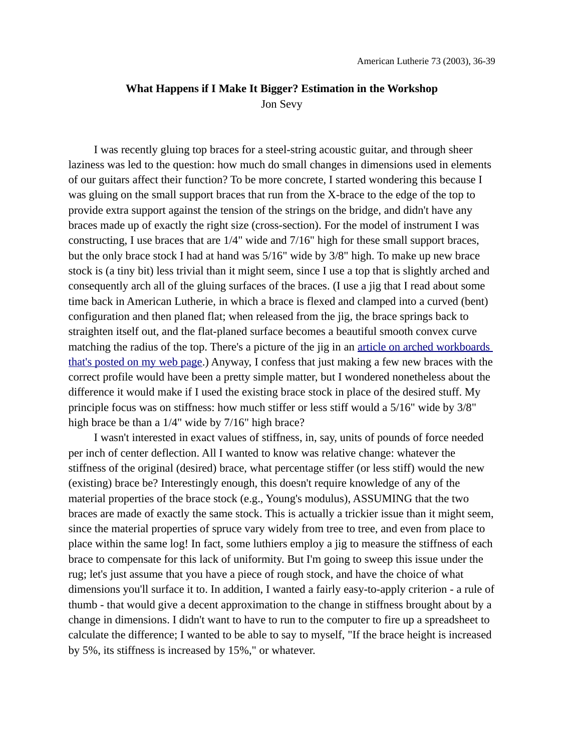# **What Happens if I Make It Bigger? Estimation in the Workshop** Jon Sevy

I was recently gluing top braces for a steel-string acoustic guitar, and through sheer laziness was led to the question: how much do small changes in dimensions used in elements of our guitars affect their function? To be more concrete, I started wondering this because I was gluing on the small support braces that run from the X-brace to the edge of the top to provide extra support against the tension of the strings on the bridge, and didn't have any braces made up of exactly the right size (cross-section). For the model of instrument I was constructing, I use braces that are 1/4" wide and 7/16" high for these small support braces, but the only brace stock I had at hand was 5/16" wide by 3/8" high. To make up new brace stock is (a tiny bit) less trivial than it might seem, since I use a top that is slightly arched and consequently arch all of the gluing surfaces of the braces. (I use a jig that I read about some time back in American Lutherie, in which a brace is flexed and clamped into a curved (bent) configuration and then planed flat; when released from the jig, the brace springs back to straighten itself out, and the flat-planed surface becomes a beautiful smooth convex curve matching the radius of the top. There's a picture of the jig in an [article on arched workboards](http://jsevy.com/luthierie/workboards/Arched_Workboards.html)  [that's posted on my web page.](http://jsevy.com/luthierie/workboards/Arched_Workboards.html)) Anyway, I confess that just making a few new braces with the correct profile would have been a pretty simple matter, but I wondered nonetheless about the difference it would make if I used the existing brace stock in place of the desired stuff. My principle focus was on stiffness: how much stiffer or less stiff would a 5/16" wide by 3/8" high brace be than a 1/4" wide by 7/16" high brace?

I wasn't interested in exact values of stiffness, in, say, units of pounds of force needed per inch of center deflection. All I wanted to know was relative change: whatever the stiffness of the original (desired) brace, what percentage stiffer (or less stiff) would the new (existing) brace be? Interestingly enough, this doesn't require knowledge of any of the material properties of the brace stock (e.g., Young's modulus), ASSUMING that the two braces are made of exactly the same stock. This is actually a trickier issue than it might seem, since the material properties of spruce vary widely from tree to tree, and even from place to place within the same log! In fact, some luthiers employ a jig to measure the stiffness of each brace to compensate for this lack of uniformity. But I'm going to sweep this issue under the rug; let's just assume that you have a piece of rough stock, and have the choice of what dimensions you'll surface it to. In addition, I wanted a fairly easy-to-apply criterion - a rule of thumb - that would give a decent approximation to the change in stiffness brought about by a change in dimensions. I didn't want to have to run to the computer to fire up a spreadsheet to calculate the difference; I wanted to be able to say to myself, "If the brace height is increased by 5%, its stiffness is increased by 15%," or whatever.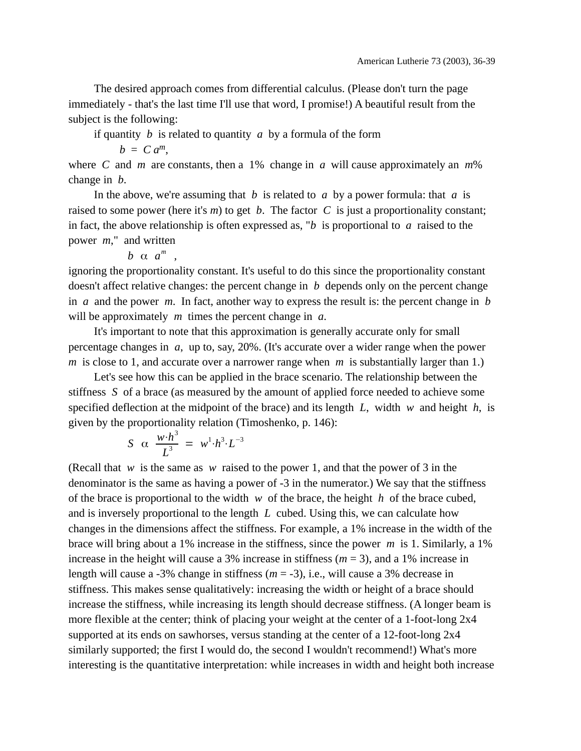The desired approach comes from differential calculus. (Please don't turn the page immediately - that's the last time I'll use that word, I promise!) A beautiful result from the subject is the following:

if quantity *b* is related to quantity *a* by a formula of the form

 $b = C a^m$ ,

where *C* and *m* are constants, then a 1% change in *a* will cause approximately an *m*% change in *b*.

In the above, we're assuming that *b* is related to *a* by a power formula: that *a* is raised to some power (here it's *m*) to get *b*. The factor *C* is just a proportionality constant; in fact, the above relationship is often expressed as, "*b* is proportional to *a* raised to the power *m*," and written

 $b \alpha a^m$ ,

ignoring the proportionality constant. It's useful to do this since the proportionality constant doesn't affect relative changes: the percent change in *b* depends only on the percent change in *a* and the power *m*. In fact, another way to express the result is: the percent change in *b* will be approximately *m* times the percent change in *a*.

It's important to note that this approximation is generally accurate only for small percentage changes in *a*, up to, say, 20%. (It's accurate over a wider range when the power *m* is close to 1, and accurate over a narrower range when *m* is substantially larger than 1.)

Let's see how this can be applied in the brace scenario. The relationship between the stiffness *S* of a brace (as measured by the amount of applied force needed to achieve some specified deflection at the midpoint of the brace) and its length *L*, width *w* and height *h*, is given by the proportionality relation (Timoshenko, p. 146):

$$
S \ \alpha \ \frac{w \cdot h^3}{L^3} = w^1 \cdot h^3 \cdot L^{-3}
$$

(Recall that *w* is the same as *w* raised to the power 1, and that the power of 3 in the denominator is the same as having a power of -3 in the numerator.) We say that the stiffness of the brace is proportional to the width *w* of the brace, the height *h* of the brace cubed, and is inversely proportional to the length *L* cubed. Using this, we can calculate how changes in the dimensions affect the stiffness. For example, a 1% increase in the width of the brace will bring about a 1% increase in the stiffness, since the power *m* is 1. Similarly, a 1% increase in the height will cause a 3% increase in stiffness (*m* = 3), and a 1% increase in length will cause a -3% change in stiffness (*m* = -3), i.e., will cause a 3% decrease in stiffness. This makes sense qualitatively: increasing the width or height of a brace should increase the stiffness, while increasing its length should decrease stiffness. (A longer beam is more flexible at the center; think of placing your weight at the center of a 1-foot-long 2x4 supported at its ends on sawhorses, versus standing at the center of a 12-foot-long 2x4 similarly supported; the first I would do, the second I wouldn't recommend!) What's more interesting is the quantitative interpretation: while increases in width and height both increase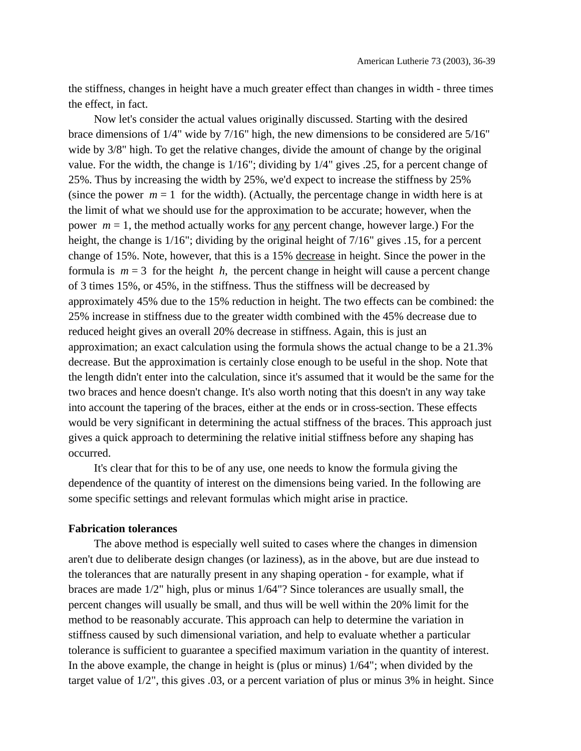the stiffness, changes in height have a much greater effect than changes in width - three times the effect, in fact.

Now let's consider the actual values originally discussed. Starting with the desired brace dimensions of 1/4" wide by 7/16" high, the new dimensions to be considered are 5/16" wide by 3/8" high. To get the relative changes, divide the amount of change by the original value. For the width, the change is 1/16"; dividing by 1/4" gives .25, for a percent change of 25%. Thus by increasing the width by 25%, we'd expect to increase the stiffness by 25% (since the power  $m = 1$  for the width). (Actually, the percentage change in width here is at the limit of what we should use for the approximation to be accurate; however, when the power *m* = 1, the method actually works for any percent change, however large.) For the height, the change is 1/16"; dividing by the original height of 7/16" gives .15, for a percent change of 15%. Note, however, that this is a 15% decrease in height. Since the power in the formula is *m* = 3 for the height *h*, the percent change in height will cause a percent change of 3 times 15%, or 45%, in the stiffness. Thus the stiffness will be decreased by approximately 45% due to the 15% reduction in height. The two effects can be combined: the 25% increase in stiffness due to the greater width combined with the 45% decrease due to reduced height gives an overall 20% decrease in stiffness. Again, this is just an approximation; an exact calculation using the formula shows the actual change to be a 21.3% decrease. But the approximation is certainly close enough to be useful in the shop. Note that the length didn't enter into the calculation, since it's assumed that it would be the same for the two braces and hence doesn't change. It's also worth noting that this doesn't in any way take into account the tapering of the braces, either at the ends or in cross-section. These effects would be very significant in determining the actual stiffness of the braces. This approach just gives a quick approach to determining the relative initial stiffness before any shaping has occurred.

It's clear that for this to be of any use, one needs to know the formula giving the dependence of the quantity of interest on the dimensions being varied. In the following are some specific settings and relevant formulas which might arise in practice.

#### **Fabrication tolerances**

The above method is especially well suited to cases where the changes in dimension aren't due to deliberate design changes (or laziness), as in the above, but are due instead to the tolerances that are naturally present in any shaping operation - for example, what if braces are made 1/2" high, plus or minus 1/64"? Since tolerances are usually small, the percent changes will usually be small, and thus will be well within the 20% limit for the method to be reasonably accurate. This approach can help to determine the variation in stiffness caused by such dimensional variation, and help to evaluate whether a particular tolerance is sufficient to guarantee a specified maximum variation in the quantity of interest. In the above example, the change in height is (plus or minus) 1/64"; when divided by the target value of 1/2", this gives .03, or a percent variation of plus or minus 3% in height. Since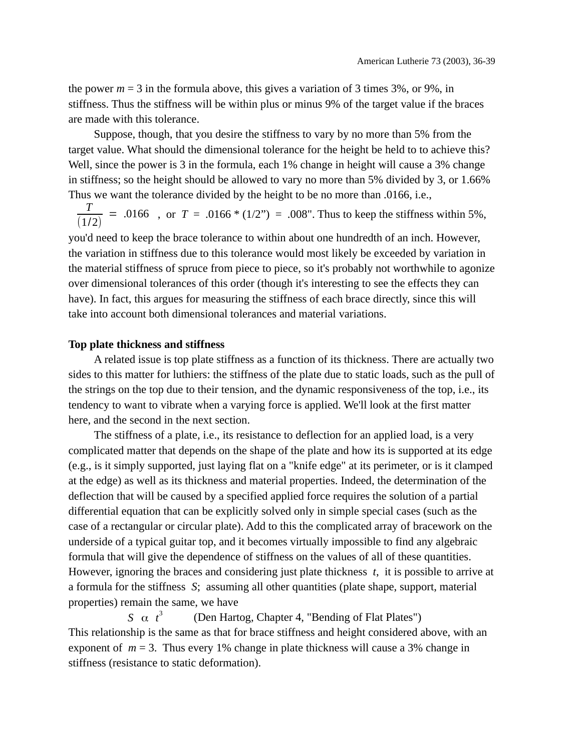the power  $m = 3$  in the formula above, this gives a variation of 3 times 3%, or 9%, in stiffness. Thus the stiffness will be within plus or minus 9% of the target value if the braces are made with this tolerance.

Suppose, though, that you desire the stiffness to vary by no more than 5% from the target value. What should the dimensional tolerance for the height be held to to achieve this? Well, since the power is 3 in the formula, each 1% change in height will cause a 3% change in stiffness; so the height should be allowed to vary no more than 5% divided by 3, or 1.66% Thus we want the tolerance divided by the height to be no more than .0166, i.e.,

*T*  $(1/2)$  $= .0166$ , or  $T = .0166 * (1/2") = .008$ ". Thus to keep the stiffness within 5%,

you'd need to keep the brace tolerance to within about one hundredth of an inch. However, the variation in stiffness due to this tolerance would most likely be exceeded by variation in the material stiffness of spruce from piece to piece, so it's probably not worthwhile to agonize over dimensional tolerances of this order (though it's interesting to see the effects they can have). In fact, this argues for measuring the stiffness of each brace directly, since this will take into account both dimensional tolerances and material variations.

### **Top plate thickness and stiffness**

A related issue is top plate stiffness as a function of its thickness. There are actually two sides to this matter for luthiers: the stiffness of the plate due to static loads, such as the pull of the strings on the top due to their tension, and the dynamic responsiveness of the top, i.e., its tendency to want to vibrate when a varying force is applied. We'll look at the first matter here, and the second in the next section.

The stiffness of a plate, i.e., its resistance to deflection for an applied load, is a very complicated matter that depends on the shape of the plate and how its is supported at its edge (e.g., is it simply supported, just laying flat on a "knife edge" at its perimeter, or is it clamped at the edge) as well as its thickness and material properties. Indeed, the determination of the deflection that will be caused by a specified applied force requires the solution of a partial differential equation that can be explicitly solved only in simple special cases (such as the case of a rectangular or circular plate). Add to this the complicated array of bracework on the underside of a typical guitar top, and it becomes virtually impossible to find any algebraic formula that will give the dependence of stiffness on the values of all of these quantities. However, ignoring the braces and considering just plate thickness *t*, it is possible to arrive at a formula for the stiffness *S*; assuming all other quantities (plate shape, support, material properties) remain the same, we have

*S* α *t* 3 (Den Hartog, Chapter 4, "Bending of Flat Plates") This relationship is the same as that for brace stiffness and height considered above, with an exponent of *m* = 3. Thus every 1% change in plate thickness will cause a 3% change in stiffness (resistance to static deformation).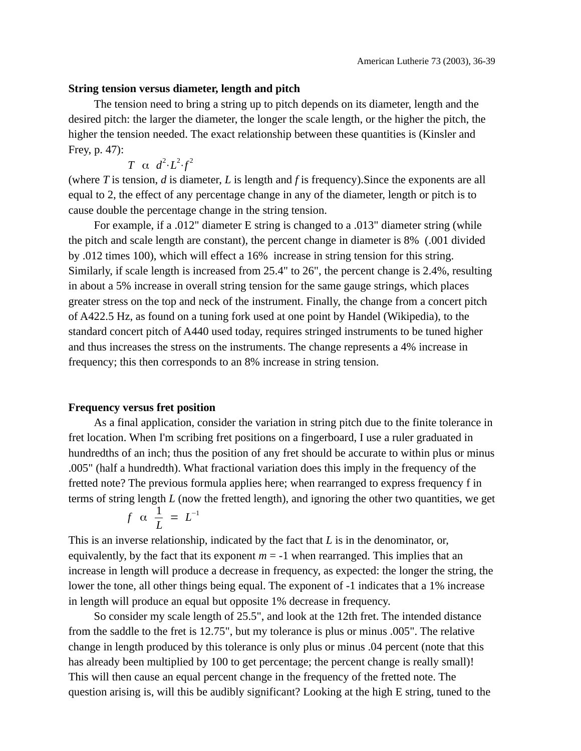### **String tension versus diameter, length and pitch**

The tension need to bring a string up to pitch depends on its diameter, length and the desired pitch: the larger the diameter, the longer the scale length, or the higher the pitch, the higher the tension needed. The exact relationship between these quantities is (Kinsler and Frey, p. 47):

*T*  $\alpha$   $d^2 \cdot L^2 \cdot f^2$ 

(where *T* is tension, *d* is diameter, *L* is length and *f* is frequency).Since the exponents are all equal to 2, the effect of any percentage change in any of the diameter, length or pitch is to cause double the percentage change in the string tension.

For example, if a .012" diameter E string is changed to a .013" diameter string (while the pitch and scale length are constant), the percent change in diameter is 8% (.001 divided by .012 times 100), which will effect a 16% increase in string tension for this string. Similarly, if scale length is increased from 25.4" to 26", the percent change is 2.4%, resulting in about a 5% increase in overall string tension for the same gauge strings, which places greater stress on the top and neck of the instrument. Finally, the change from a concert pitch of A422.5 Hz, as found on a tuning fork used at one point by Handel (Wikipedia), to the standard concert pitch of A440 used today, requires stringed instruments to be tuned higher and thus increases the stress on the instruments. The change represents a 4% increase in frequency; this then corresponds to an 8% increase in string tension.

### **Frequency versus fret position**

As a final application, consider the variation in string pitch due to the finite tolerance in fret location. When I'm scribing fret positions on a fingerboard, I use a ruler graduated in hundredths of an inch; thus the position of any fret should be accurate to within plus or minus .005" (half a hundredth). What fractional variation does this imply in the frequency of the fretted note? The previous formula applies here; when rearranged to express frequency f in terms of string length *L* (now the fretted length), and ignoring the other two quantities, we get

$$
f \alpha \frac{1}{L} = L^{-1}
$$

This is an inverse relationship, indicated by the fact that *L* is in the denominator, or, equivalently, by the fact that its exponent  $m = -1$  when rearranged. This implies that an increase in length will produce a decrease in frequency, as expected: the longer the string, the lower the tone, all other things being equal. The exponent of -1 indicates that a 1% increase in length will produce an equal but opposite 1% decrease in frequency.

So consider my scale length of 25.5", and look at the 12th fret. The intended distance from the saddle to the fret is 12.75", but my tolerance is plus or minus .005". The relative change in length produced by this tolerance is only plus or minus .04 percent (note that this has already been multiplied by 100 to get percentage; the percent change is really small)! This will then cause an equal percent change in the frequency of the fretted note. The question arising is, will this be audibly significant? Looking at the high E string, tuned to the